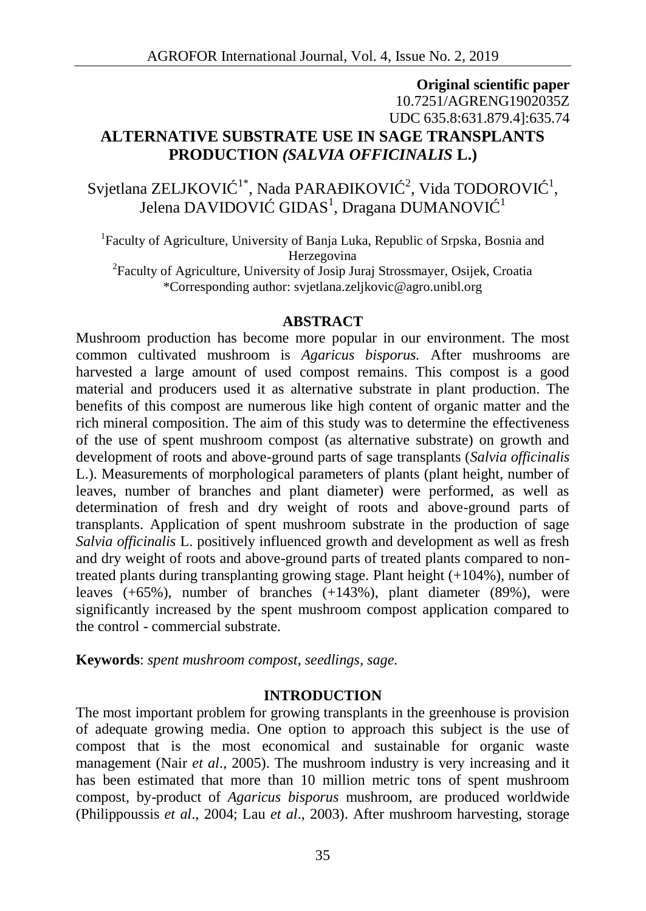# **Original scientific paper** 10.7251/AGRENG1902035Z UDC 635.8:631.879.4]:635.74 **ALTERNATIVE SUBSTRATE USE IN SAGE TRANSPLANTS PRODUCTION** *(SALVIA OFFICINALIS* **L.)**

Svjetlana ZELJKOVI $^{-1*}$ , Nada PARA $^{-1}$ KOVI $^{-2}$ , Vida TODOROVI $^{-1}$ , Jelena DAVIDOVI  $\,$  GIDAS $^1$ , Dragana DUMANOVI  $^{-1}$ 

<sup>1</sup>Faculty of Agriculture, University of Banja Luka, Republic of Srpska, Bosnia and Herzegovina

<sup>2</sup>Faculty of Agriculture, University of Josip Juraj Strossmayer, Osijek, Croatia \*Corresponding author: svjetlana.zeljkovic@agro.unibl.org

#### **ABSTRACT**

Mushroom production has become more popular in our environment. The most common cultivated mushroom is *Agaricus bisporus.* After mushrooms are harvested a large amount of used compost remains. This compost is a good material and producers used it as alternative substrate in plant production. The benefits of this compost are numerous like high content of organic matter and the rich mineral composition. The aim of this study was to determine the effectiveness of the use of spent mushroom compost (as alternative substrate) on growth and development of roots and above-ground parts of sage transplants (*Salvia officinalis* L.). Measurements of morphological parameters of plants (plant height, number of leaves, number of branches and plant diameter) were performed, as well as determination of fresh and dry weight of roots and above-ground parts of transplants. Application of spent mushroom substrate in the production of sage *Salvia officinalis* L. positively influenced growth and development as well as fresh and dry weight of roots and above-ground parts of treated plants compared to nontreated plants during transplanting growing stage. Plant height  $(+104%)$ , number of leaves (+65%), number of branches (+143%), plant diameter (89%), were significantly increased by the spent mushroom compost application compared to the control - commercial substrate.

**Keywords**: *spent mushroom compost, seedlings, sage.*

#### **INTRODUCTION**

The most important problem for growing transplants in the greenhouse is provision of adequate growing media. One option to approach this subject is the use of compost that is the most economical and sustainable for organic waste management (Nair *et al*., 2005). The mushroom industry is very increasing and it has been estimated that more than 10 million metric tons of spent mushroom compost, by-product of *Agaricus bisporus* mushroom, are produced worldwide (Philippoussis *et al*., 2004; Lau *et al*., 2003). After mushroom harvesting, storage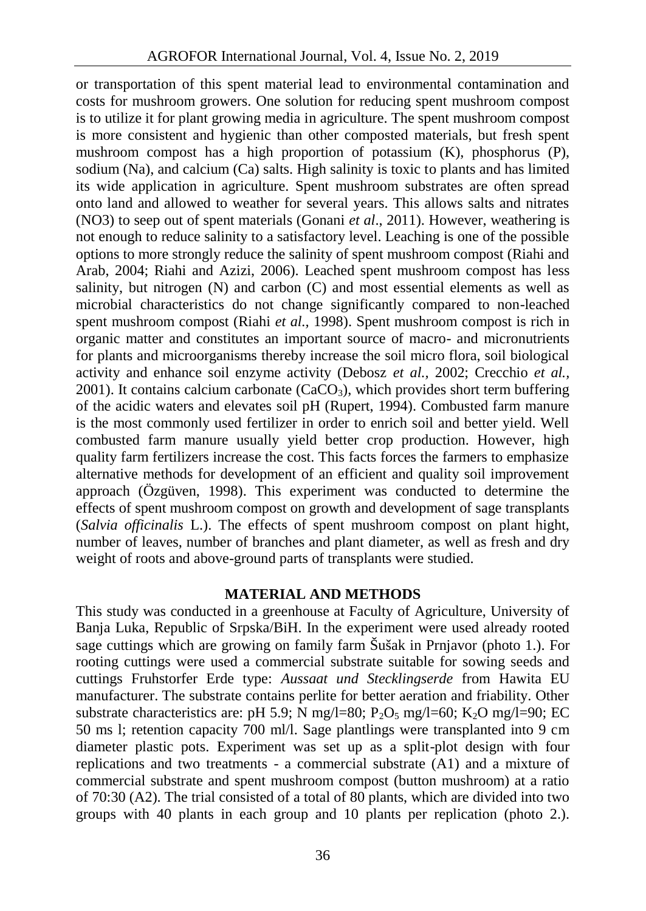or transportation of this spent material lead to environmental contamination and costs for mushroom growers. One solution for reducing spent mushroom compost is to utilize it for plant growing media in agriculture. The spent mushroom compost is more consistent and hygienic than other composted materials, but fresh spent mushroom compost has a high proportion of potassium  $(K)$ , phosphorus  $(P)$ , sodium (Na), and calcium (Ca) salts. High salinity is toxic to plants and has limited its wide application in agriculture. Spent mushroom substrates are often spread onto land and allowed to weather for several years. This allows salts and nitrates (NO3) to seep out of spent materials (Gonani *et al*., 2011). However, weathering is not enough to reduce salinity to a satisfactory level. Leaching is one of the possible options to more strongly reduce the salinity of spent mushroom compost (Riahi and Arab, 2004; Riahi and Azizi, 2006). Leached spent mushroom compost has less salinity, but nitrogen (N) and carbon (C) and most essential elements as well as microbial characteristics do not change significantly compared to non-leached spent mushroom compost (Riahi *et al.,* 1998). Spent mushroom compost is rich in organic matter and constitutes an important source of macro- and micronutrients for plants and microorganisms thereby increase the soil micro flora, soil biological activity and enhance soil enzyme activity (Debosz *et al.,* 2002; Crecchio *et al.,* 2001). It contains calcium carbonate (CaCO<sub>3</sub>), which provides short term buffering of the acidic waters and elevates soil pH (Rupert, 1994). Combusted farm manure is the most commonly used fertilizer in order to enrich soil and better yield. Well combusted farm manure usually yield better crop production. However, high quality farm fertilizers increase the cost. This facts forces the farmers to emphasize alternative methods for development of an efficient and quality soil improvement approach (Özgüven, 1998). This experiment was conducted to determine the effects of spent mushroom compost on growth and development of sage transplants (*Salvia officinalis* L.). The effects of spent mushroom compost on plant hight, number of leaves, number of branches and plant diameter, as well as fresh and dry weight of roots and above-ground parts of transplants were studied.

#### **MATERIAL AND METHODS**

This study was conducted in a greenhouse at Faculty of Agriculture, University of Banja Luka, Republic of Srpska/BiH. In the experiment were used already rooted sage cuttings which are growing on family farm Šušak in Prnjavor (photo 1.). For rooting cuttings were used a commercial substrate suitable for sowing seeds and cuttings Fruhstorfer Erde type: *Aussaat und Stecklingserde* from Hawita EU manufacturer. The substrate contains perlite for better aeration and friability. Other substrate characteristics are: pH 5.9; N mg/l=80;  $P_2O_5$  mg/l=60;  $K_2O$  mg/l=90; EC 50 ms l; retention capacity 700 ml/l. Sage plantlings were transplanted into 9 cm diameter plastic pots. Experiment was set up as a split-plot design with four replications and two treatments - a commercial substrate (A1) and a mixture of commercial substrate and spent mushroom compost (button mushroom) at a ratio of 70:30 (A2). The trial consisted of a total of 80 plants, which are divided into two groups with 40 plants in each group and 10 plants per replication (photo 2.).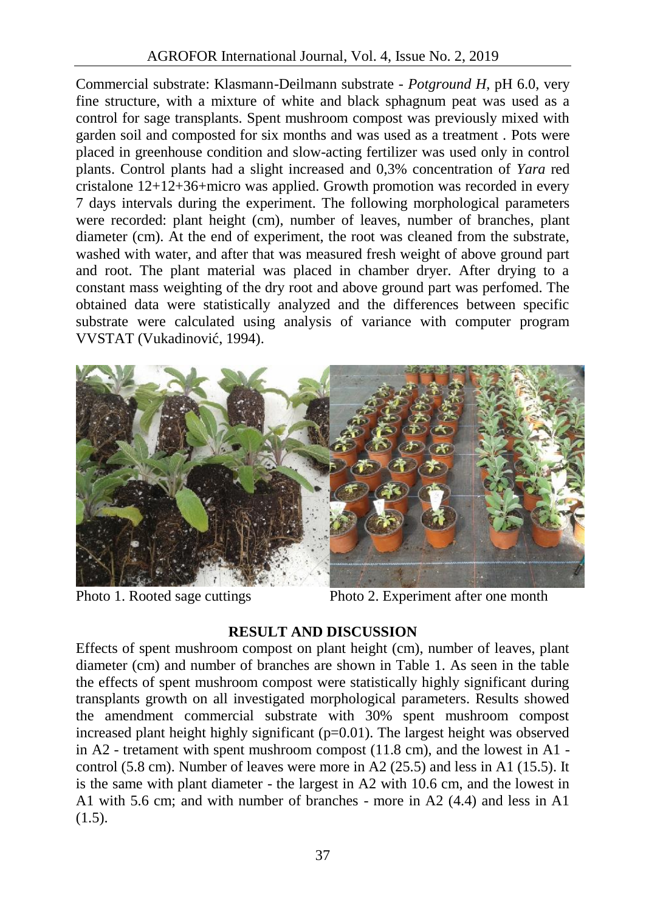Commercial substrate: Klasmann-Deilmann substrate *- Potground H*, pH 6.0, very fine structure, with a mixture of white and black sphagnum peat was used as a control for sage transplants. Spent mushroom compost was previously mixed with garden soil and composted for six months and was used as a treatment . Pots were placed in greenhouse condition and slow-acting fertilizer was used only in control plants. Control plants had a slight increased and 0,3% concentration of *Yara* red cristalone 12+12+36+micro was applied. Growth promotion was recorded in every 7 days intervals during the experiment. The following morphological parameters were recorded: plant height (cm), number of leaves, number of branches, plant diameter (cm). At the end of experiment, the root was cleaned from the substrate, washed with water, and after that was measured fresh weight of above ground part and root. The plant material was placed in chamber dryer. After drying to a constant mass weighting of the dry root and above ground part was perfomed. The obtained data were statistically analyzed and the differences between specific substrate were calculated using analysis of variance with computer program VVSTAT (Vukadinovi, 1994).



Photo 1. Rooted sage cuttings Photo 2. Experiment after one month

## **RESULT AND DISCUSSION**

Effects of spent mushroom compost on plant height (cm), number of leaves, plant diameter (cm) and number of branches are shown in Table 1. As seen in the table the effects of spent mushroom compost were statistically highly significant during transplants growth on all investigated morphological parameters. Results showed the amendment commercial substrate with 30% spent mushroom compost increased plant height highly significant  $(p=0.01)$ . The largest height was observed in A2 - tretament with spent mushroom compost (11.8 cm), and the lowest in A1 control (5.8 cm). Number of leaves were more in A2 (25.5) and less in A1 (15.5). It is the same with plant diameter - the largest in A2 with 10.6 cm, and the lowest in A1 with 5.6 cm; and with number of branches - more in A2 (4.4) and less in A1  $(1.5).$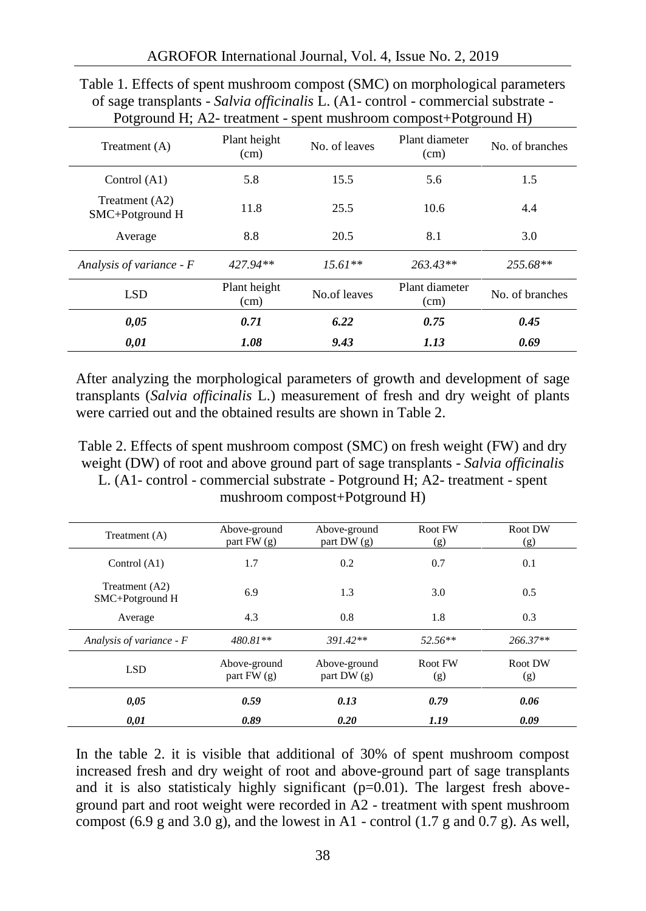|                                   | Potground H; A2- treatment - spent mushroom compost+Potground H) |               |                        |                 |  |
|-----------------------------------|------------------------------------------------------------------|---------------|------------------------|-----------------|--|
| Treatment (A)                     | Plant height<br>(cm)                                             | No. of leaves | Plant diameter<br>(cm) | No. of branches |  |
| Control (A1)                      | 5.8                                                              | 15.5          | 5.6                    | 1.5             |  |
| Treatment (A2)<br>SMC+Potground H | 11.8                                                             | 25.5          | 10.6                   | 4.4             |  |
| Average                           | 8.8                                                              | 20.5          | 8.1                    | 3.0             |  |
| Analysis of variance $-F$         | 427.94**                                                         | $15.61**$     | $263.43**$             | 255.68**        |  |
| <b>LSD</b>                        | Plant height<br>(cm)                                             | No.of leaves  | Plant diameter<br>(cm) | No. of branches |  |
| 0.05                              | 0.71                                                             | 6.22          | 0.75                   | 0.45            |  |
| 0.01                              | 1.08                                                             | 9.43          | 1.13                   | 0.69            |  |

Table 1. Effects of spent mushroom compost (SMC) on morphological parameters of sage transplants - *Salvia officinalis* L. (A1- control - commercial substrate -

After analyzing the morphological parameters of growth and development of sage transplants (*Salvia officinalis* L.) measurement of fresh and dry weight of plants were carried out and the obtained results are shown in Table 2.

Table 2. Effects of spent mushroom compost (SMC) on fresh weight (FW) and dry weight (DW) of root and above ground part of sage transplants - *Salvia officinalis* L. (A1- control - commercial substrate - Potground H; A2- treatment - spent mushroom compost+Potground H)

| Treatment (A)                     | Above-ground<br>part $FW(g)$ | Above-ground<br>part DW $(g)$ | Root FW<br>(g) | Root DW<br>(g) |
|-----------------------------------|------------------------------|-------------------------------|----------------|----------------|
| Control $(A1)$                    | 1.7                          | 0.2                           | 0.7            | 0.1            |
| Treatment (A2)<br>SMC+Potground H | 6.9                          | 1.3                           | 3.0            | 0.5            |
| Average                           | 4.3                          | 0.8                           | 1.8            | 0.3            |
| Analysis of variance - F          | $480.81**$                   | $391.42**$                    | $52.56**$      | 266.37**       |
| <b>LSD</b>                        | Above-ground<br>part $FW(g)$ | Above-ground<br>part DW $(g)$ | Root FW<br>(g) | Root DW<br>(g) |
| 0,05                              | 0.59                         | 0.13                          | 0.79           | 0.06           |
| 0,01                              | 0.89                         | 0.20                          | 1.19           | 0.09           |

In the table 2. it is visible that additional of 30% of spent mushroom compost increased fresh and dry weight of root and above-ground part of sage transplants and it is also statisticaly highly significant  $(p=0.01)$ . The largest fresh aboveground part and root weight were recorded in A2 - treatment with spent mushroom compost (6.9 g and 3.0 g), and the lowest in A1 - control (1.7 g and 0.7 g). As well,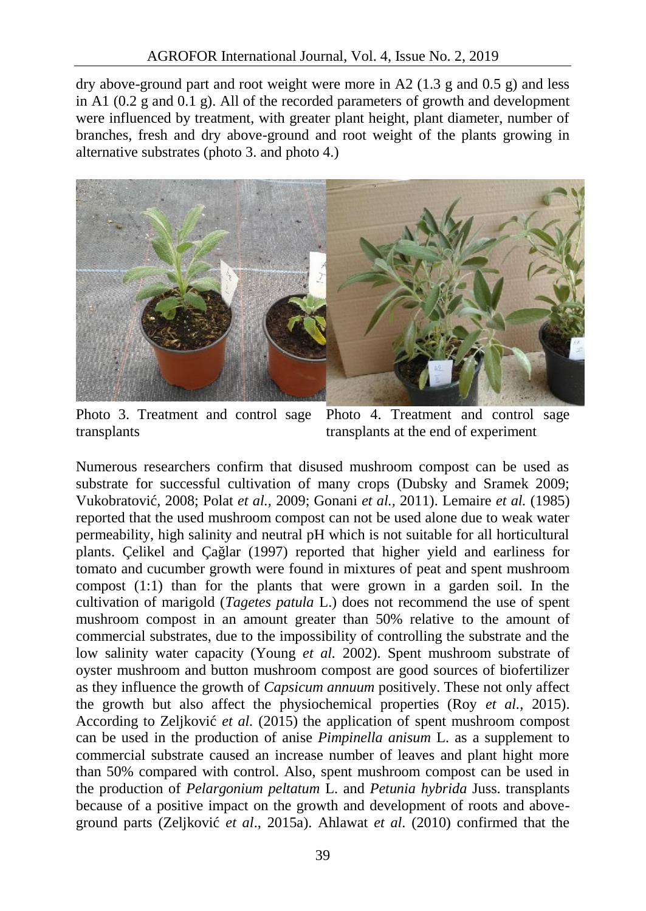dry above-ground part and root weight were more in A2 (1.3 g and 0.5 g) and less in A1 (0.2 g and 0.1 g). All of the recorded parameters of growth and development were influenced by treatment, with greater plant height, plant diameter, number of branches, fresh and dry above-ground and root weight of the plants growing in alternative substrates (photo 3. and photo 4.)



Photo 3. Treatment and control sage transplants

Photo 4. Treatment and control sage transplants at the end of experiment

Numerous researchers confirm that disused mushroom compost can be used as substrate for successful cultivation of many crops (Dubsky and Sramek 2009; Vukobratović, 2008; Polat *et al.,* 2009; Gonani *et al.,* 2011). Lemaire *et al.* (1985) reported that the used mushroom compost can not be used alone due to weak water permeability, high salinity and neutral pH which is not suitable for all horticultural plants. Çelikel and Çağlar (1997) reported that higher yield and earliness for tomato and cucumber growth were found in mixtures of peat and spent mushroom compost (1:1) than for the plants that were grown in a garden soil. In the cultivation of marigold (*Tagetes patula* L.) does not recommend the use of spent mushroom compost in an amount greater than 50% relative to the amount of commercial substrates, due to the impossibility of controlling the substrate and the low salinity water capacity (Young *et al.* 2002). Spent mushroom substrate of oyster mushroom and button mushroom compost are good sources of biofertilizer as they influence the growth of *Capsicum annuum* positively. These not only affect the growth but also affect the physiochemical properties (Roy *et al.*, 2015). According to Zeljković *et al.* (2015) the application of spent mushroom compost can be used in the production of anise *Pimpinella anisum* L. as a supplement to commercial substrate caused an increase number of leaves and plant hight more than 50% compared with control. Also, spent mushroom compost can be used in the production of *Pelargonium peltatum* L. and *Petunia hybrida* Juss. transplants because of a positive impact on the growth and development of roots and above ground parts (Zeljković *et al*., 2015a). Ahlawat *et al*. (2010) confirmed that the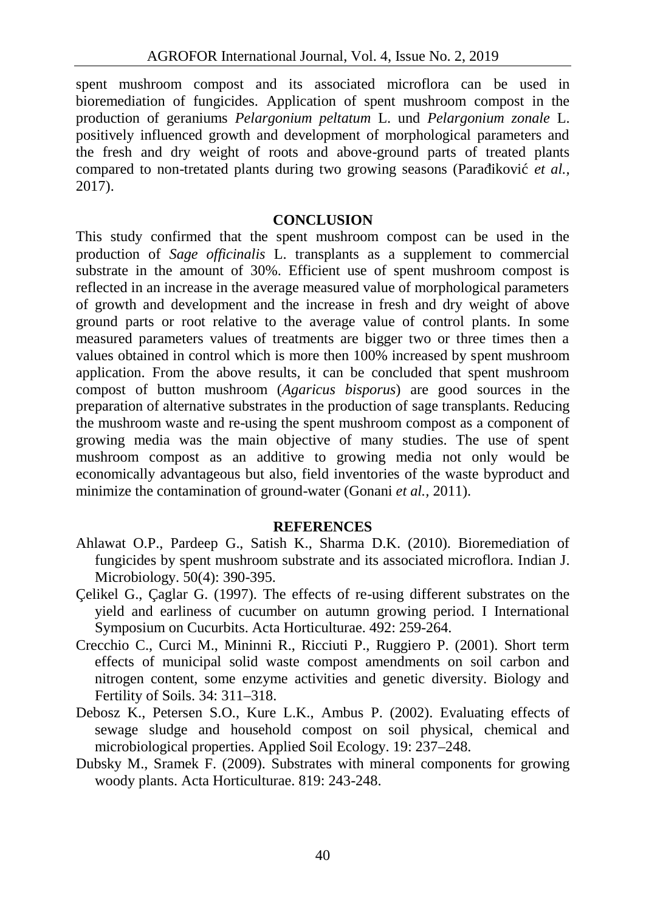spent mushroom compost and its associated microflora can be used in bioremediation of fungicides. Application of spent mushroom compost in the production of geraniums *Pelargonium peltatum* L. und *Pelargonium zonale* L. positively influenced growth and development of morphological parameters and the fresh and dry weight of roots and above-ground parts of treated plants compared to non-tretated plants during two growing seasons (Para ikovi *et al.,* 2017).

### **CONCLUSION**

This study confirmed that the spent mushroom compost can be used in the production of *Sage officinalis* L. transplants as a supplement to commercial substrate in the amount of 30%. Efficient use of spent mushroom compost is reflected in an increase in the average measured value of morphological parameters of growth and development and the increase in fresh and dry weight of above ground parts or root relative to the average value of control plants. In some measured parameters values of treatments are bigger two or three times then a values obtained in control which is more then 100% increased by spent mushroom application. From the above results, it can be concluded that spent mushroom compost of button mushroom (*Agaricus bisporus*) are good sources in the preparation of alternative substrates in the production of sage transplants. Reducing the mushroom waste and re-using the spent mushroom compost as a component of growing media was the main objective of many studies. The use of spent mushroom compost as an additive to growing media not only would be economically advantageous but also, field inventories of the waste byproduct and minimize the contamination of ground-water (Gonani *et al.,* 2011).

#### **REFERENCES**

- Ahlawat O.P., Pardeep G., Satish K., Sharma D.K. (2010). Bioremediation of fungicides by spent mushroom substrate and its associated microflora. Indian J. Microbiology. 50(4): 390-395.
- Çelikel G., Çaglar G. (1997). The effects of re-using different substrates on the yield and earliness of cucumber on autumn growing period. I International Symposium on Cucurbits. Acta Horticulturae. 492: 259-264.
- Crecchio C., Curci M., Mininni R., Ricciuti P., Ruggiero P. (2001). Short term effects of municipal solid waste compost amendments on soil carbon and nitrogen content, some enzyme activities and genetic diversity. Biology and Fertility of Soils. 34: 311–318.
- Debosz K., Petersen S.O., Kure L.K., Ambus P. (2002). Evaluating effects of sewage sludge and household compost on soil physical, chemical and microbiological properties. Applied Soil Ecology. 19: 237–248.
- Dubsky M., Sramek F. (2009). Substrates with mineral components for growing woody plants. Acta Horticulturae. 819: 243-248.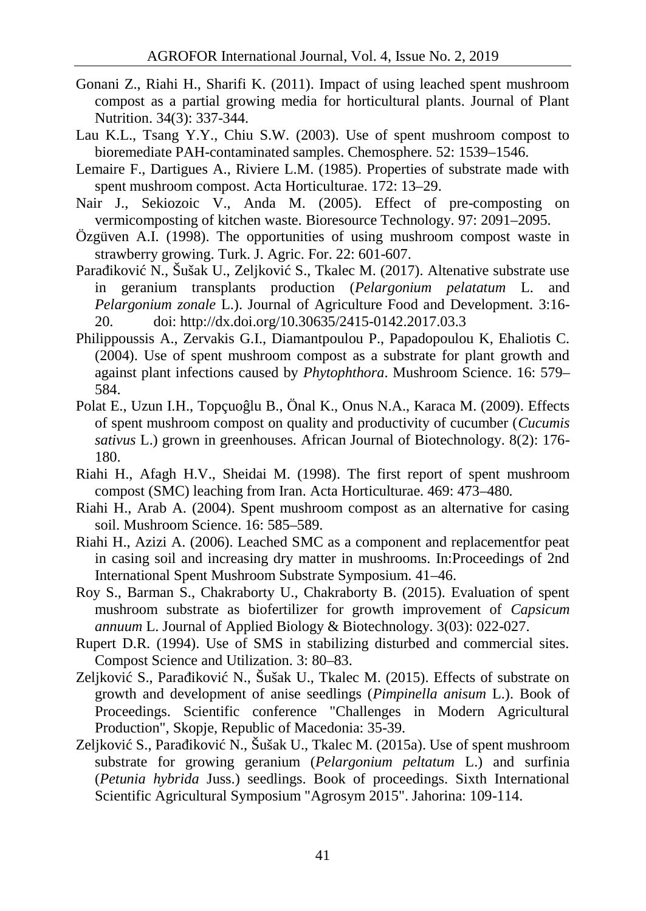- Gonani Z., Riahi H., Sharifi K. (2011). Impact of using leached spent mushroom compost as a partial growing media for horticultural plants. Journal of Plant Nutrition. 34(3): 337-344.
- Lau K.L., Tsang Y.Y., Chiu S.W. (2003). Use of spent mushroom compost to bioremediate PAH-contaminated samples. Chemosphere. 52: 1539–1546.
- Lemaire F., Dartigues A., Riviere L.M. (1985). Properties of substrate made with spent mushroom compost. Acta Horticulturae. 172: 13–29.
- Nair J., Sekiozoic V., Anda M. (2005). Effect of pre-composting on vermicomposting of kitchen waste. Bioresource Technology. 97: 2091–2095.
- Özgüven A.I. (1998). The opportunities of using mushroom compost waste in strawberry growing. Turk. J. Agric. For. 22: 601-607.
- Para ikovi N., Šušak U., Zeljkovi S., Tkalec M. (2017). Altenative substrate use in geranium transplants production (*Pelargonium pelatatum* L. and *Pelargonium zonale* L.). Journal of Agriculture Food and Development. 3:16- 20. doi: http://dx.doi.org/10.30635/2415-0142.2017.03.3
- Philippoussis A., Zervakis G.I., Diamantpoulou P., Papadopoulou K, Ehaliotis C. (2004). Use of spent mushroom compost as a substrate for plant growth and against plant infections caused by *Phytophthora*. Mushroom Science. 16: 579– 584.
- Polat E., Uzun I.H., Topçuo lu B., Önal K., Onus N.A., Karaca M. (2009). Effects of spent mushroom compost on quality and productivity of cucumber (*Cucumis sativus* L.) grown in greenhouses. African Journal of Biotechnology. 8(2): 176- 180.
- Riahi H., Afagh H.V., Sheidai M. (1998). The first report of spent mushroom compost (SMC) leaching from Iran. Acta Horticulturae. 469: 473–480*.*
- Riahi H., Arab A. (2004). Spent mushroom compost as an alternative for casing soil. Mushroom Science. 16: 585–589.
- Riahi H., Azizi A. (2006). Leached SMC as a component and replacementfor peat in casing soil and increasing dry matter in mushrooms. In:Proceedings of 2nd International Spent Mushroom Substrate Symposium. 41–46.
- Roy S., Barman S., Chakraborty U., Chakraborty B. (2015). Evaluation of spent mushroom substrate as biofertilizer for growth improvement of *Capsicum annuum* L. Journal of Applied Biology & Biotechnology. 3(03): 022-027.
- Rupert D.R. (1994). Use of SMS in stabilizing disturbed and commercial sites. Compost Science and Utilization. 3: 80–83.
- Zeljkovi S., Para ikovi N., Šušak U., Tkalec M. (2015). Effects of substrate on growth and development of anise seedlings (*Pimpinella anisum* L.). Book of Proceedings. Scientific conference "Challenges in Modern Agricultural Production", Skopje, Republic of Macedonia: 35-39.
- Zeljkovi S., Para ikovi N., Šušak U., Tkalec M. (2015a). Use of spent mushroom substrate for growing geranium (*Pelargonium peltatum* L.) and surfinia (*Petunia hybrida* Juss.) seedlings. Book of proceedings. Sixth International Scientific Agricultural Symposium "Agrosym 2015". Jahorina: 109-114.